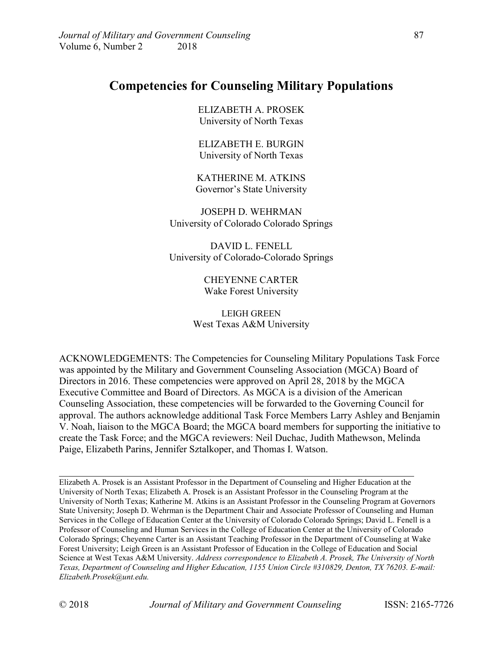# **Competencies for Counseling Military Populations**

ELIZABETH A. PROSEK University of North Texas

ELIZABETH E. BURGIN University of North Texas

KATHERINE M. ATKINS Governor's State University

JOSEPH D. WEHRMAN University of Colorado Colorado Springs

DAVID L. FENELL University of Colorado-Colorado Springs

> CHEYENNE CARTER Wake Forest University

LEIGH GREEN West Texas A&M University

ACKNOWLEDGEMENTS: The Competencies for Counseling Military Populations Task Force was appointed by the Military and Government Counseling Association (MGCA) Board of Directors in 2016. These competencies were approved on April 28, 2018 by the MGCA Executive Committee and Board of Directors. As MGCA is a division of the American Counseling Association, these competencies will be forwarded to the Governing Council for approval. The authors acknowledge additional Task Force Members Larry Ashley and Benjamin V. Noah, liaison to the MGCA Board; the MGCA board members for supporting the initiative to create the Task Force; and the MGCA reviewers: Neil Duchac, Judith Mathewson, Melinda Paige, Elizabeth Parins, Jennifer Sztalkoper, and Thomas I. Watson.

Elizabeth A. Prosek is an Assistant Professor in the Department of Counseling and Higher Education at the University of North Texas; Elizabeth A. Prosek is an Assistant Professor in the Counseling Program at the University of North Texas; Katherine M. Atkins is an Assistant Professor in the Counseling Program at Governors State University; Joseph D. Wehrman is the Department Chair and Associate Professor of Counseling and Human Services in the College of Education Center at the University of Colorado Colorado Springs; David L. Fenell is a Professor of Counseling and Human Services in the College of Education Center at the University of Colorado Colorado Springs; Cheyenne Carter is an Assistant Teaching Professor in the Department of Counseling at Wake Forest University; Leigh Green is an Assistant Professor of Education in the College of Education and Social Science at West Texas A&M University. *Address correspondence to Elizabeth A. Prosek, The University of North Texas, Department of Counseling and Higher Education, 1155 Union Circle #310829, Denton, TX 76203. E-mail: Elizabeth.Prosek@unt.edu.*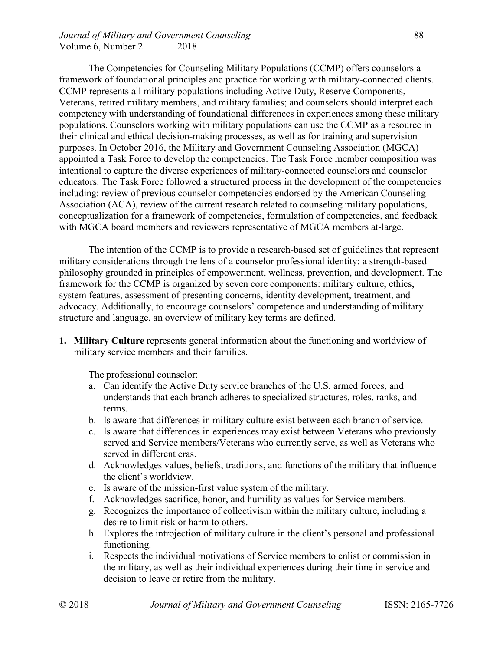#### *Journal of Military and Government Counseling* example 88 Volume 6, Number 2 2018

The Competencies for Counseling Military Populations (CCMP) offers counselors a framework of foundational principles and practice for working with military-connected clients. CCMP represents all military populations including Active Duty, Reserve Components, Veterans, retired military members, and military families; and counselors should interpret each competency with understanding of foundational differences in experiences among these military populations. Counselors working with military populations can use the CCMP as a resource in their clinical and ethical decision-making processes, as well as for training and supervision purposes. In October 2016, the Military and Government Counseling Association (MGCA) appointed a Task Force to develop the competencies. The Task Force member composition was intentional to capture the diverse experiences of military-connected counselors and counselor educators. The Task Force followed a structured process in the development of the competencies including: review of previous counselor competencies endorsed by the American Counseling Association (ACA), review of the current research related to counseling military populations, conceptualization for a framework of competencies, formulation of competencies, and feedback with MGCA board members and reviewers representative of MGCA members at-large.

The intention of the CCMP is to provide a research-based set of guidelines that represent military considerations through the lens of a counselor professional identity: a strength-based philosophy grounded in principles of empowerment, wellness, prevention, and development. The framework for the CCMP is organized by seven core components: military culture, ethics, system features, assessment of presenting concerns, identity development, treatment, and advocacy. Additionally, to encourage counselors' competence and understanding of military structure and language, an overview of military key terms are defined.

**1. Military Culture** represents general information about the functioning and worldview of military service members and their families.

- a. Can identify the Active Duty service branches of the U.S. armed forces, and understands that each branch adheres to specialized structures, roles, ranks, and terms.
- b. Is aware that differences in military culture exist between each branch of service.
- c. Is aware that differences in experiences may exist between Veterans who previously served and Service members/Veterans who currently serve, as well as Veterans who served in different eras.
- d. Acknowledges values, beliefs, traditions, and functions of the military that influence the client's worldview.
- e. Is aware of the mission-first value system of the military.
- f. Acknowledges sacrifice, honor, and humility as values for Service members.
- g. Recognizes the importance of collectivism within the military culture, including a desire to limit risk or harm to others.
- h. Explores the introjection of military culture in the client's personal and professional functioning.
- i. Respects the individual motivations of Service members to enlist or commission in the military, as well as their individual experiences during their time in service and decision to leave or retire from the military.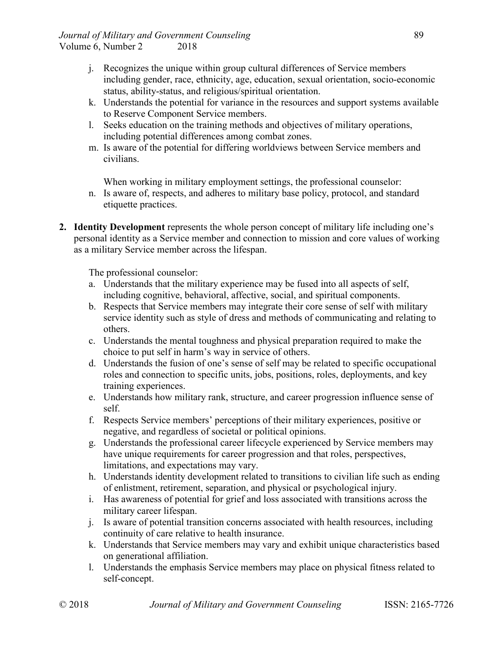- j. Recognizes the unique within group cultural differences of Service members including gender, race, ethnicity, age, education, sexual orientation, socio-economic status, ability-status, and religious/spiritual orientation.
- k. Understands the potential for variance in the resources and support systems available to Reserve Component Service members.
- l. Seeks education on the training methods and objectives of military operations, including potential differences among combat zones.
- m. Is aware of the potential for differing worldviews between Service members and civilians.

When working in military employment settings, the professional counselor:

- n. Is aware of, respects, and adheres to military base policy, protocol, and standard etiquette practices.
- **2. Identity Development** represents the whole person concept of military life including one's personal identity as a Service member and connection to mission and core values of working as a military Service member across the lifespan.

- a. Understands that the military experience may be fused into all aspects of self, including cognitive, behavioral, affective, social, and spiritual components.
- b. Respects that Service members may integrate their core sense of self with military service identity such as style of dress and methods of communicating and relating to others.
- c. Understands the mental toughness and physical preparation required to make the choice to put self in harm's way in service of others.
- d. Understands the fusion of one's sense of self may be related to specific occupational roles and connection to specific units, jobs, positions, roles, deployments, and key training experiences.
- e. Understands how military rank, structure, and career progression influence sense of self.
- f. Respects Service members' perceptions of their military experiences, positive or negative, and regardless of societal or political opinions.
- g. Understands the professional career lifecycle experienced by Service members may have unique requirements for career progression and that roles, perspectives, limitations, and expectations may vary.
- h. Understands identity development related to transitions to civilian life such as ending of enlistment, retirement, separation, and physical or psychological injury.
- i. Has awareness of potential for grief and loss associated with transitions across the military career lifespan.
- j. Is aware of potential transition concerns associated with health resources, including continuity of care relative to health insurance.
- k. Understands that Service members may vary and exhibit unique characteristics based on generational affiliation.
- l. Understands the emphasis Service members may place on physical fitness related to self-concept.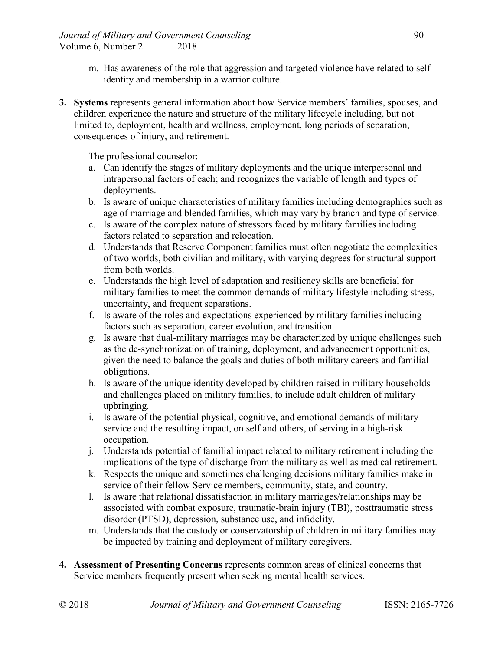- m. Has awareness of the role that aggression and targeted violence have related to selfidentity and membership in a warrior culture.
- **3. Systems** represents general information about how Service members' families, spouses, and children experience the nature and structure of the military lifecycle including, but not limited to, deployment, health and wellness, employment, long periods of separation, consequences of injury, and retirement.

- a. Can identify the stages of military deployments and the unique interpersonal and intrapersonal factors of each; and recognizes the variable of length and types of deployments.
- b. Is aware of unique characteristics of military families including demographics such as age of marriage and blended families, which may vary by branch and type of service.
- c. Is aware of the complex nature of stressors faced by military families including factors related to separation and relocation.
- d. Understands that Reserve Component families must often negotiate the complexities of two worlds, both civilian and military, with varying degrees for structural support from both worlds.
- e. Understands the high level of adaptation and resiliency skills are beneficial for military families to meet the common demands of military lifestyle including stress, uncertainty, and frequent separations.
- f. Is aware of the roles and expectations experienced by military families including factors such as separation, career evolution, and transition.
- g. Is aware that dual-military marriages may be characterized by unique challenges such as the de-synchronization of training, deployment, and advancement opportunities, given the need to balance the goals and duties of both military careers and familial obligations.
- h. Is aware of the unique identity developed by children raised in military households and challenges placed on military families, to include adult children of military upbringing.
- i. Is aware of the potential physical, cognitive, and emotional demands of military service and the resulting impact, on self and others, of serving in a high-risk occupation.
- j. Understands potential of familial impact related to military retirement including the implications of the type of discharge from the military as well as medical retirement.
- k. Respects the unique and sometimes challenging decisions military families make in service of their fellow Service members, community, state, and country.
- l. Is aware that relational dissatisfaction in military marriages/relationships may be associated with combat exposure, traumatic-brain injury (TBI), posttraumatic stress disorder (PTSD), depression, substance use, and infidelity.
- m. Understands that the custody or conservatorship of children in military families may be impacted by training and deployment of military caregivers.
- **4. Assessment of Presenting Concerns** represents common areas of clinical concerns that Service members frequently present when seeking mental health services.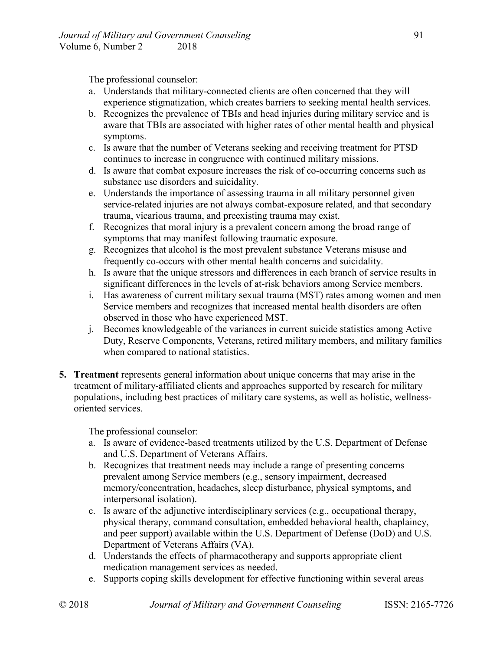The professional counselor:

- a. Understands that military-connected clients are often concerned that they will experience stigmatization, which creates barriers to seeking mental health services.
- b. Recognizes the prevalence of TBIs and head injuries during military service and is aware that TBIs are associated with higher rates of other mental health and physical symptoms.
- c. Is aware that the number of Veterans seeking and receiving treatment for PTSD continues to increase in congruence with continued military missions.
- d. Is aware that combat exposure increases the risk of co-occurring concerns such as substance use disorders and suicidality.
- e. Understands the importance of assessing trauma in all military personnel given service-related injuries are not always combat-exposure related, and that secondary trauma, vicarious trauma, and preexisting trauma may exist.
- f. Recognizes that moral injury is a prevalent concern among the broad range of symptoms that may manifest following traumatic exposure.
- g. Recognizes that alcohol is the most prevalent substance Veterans misuse and frequently co-occurs with other mental health concerns and suicidality.
- h. Is aware that the unique stressors and differences in each branch of service results in significant differences in the levels of at-risk behaviors among Service members.
- i. Has awareness of current military sexual trauma (MST) rates among women and men Service members and recognizes that increased mental health disorders are often observed in those who have experienced MST.
- j. Becomes knowledgeable of the variances in current suicide statistics among Active Duty, Reserve Components, Veterans, retired military members, and military families when compared to national statistics.
- **5. Treatment** represents general information about unique concerns that may arise in the treatment of military-affiliated clients and approaches supported by research for military populations, including best practices of military care systems, as well as holistic, wellnessoriented services.

- a. Is aware of evidence-based treatments utilized by the U.S. Department of Defense and U.S. Department of Veterans Affairs.
- b. Recognizes that treatment needs may include a range of presenting concerns prevalent among Service members (e.g., sensory impairment, decreased memory/concentration, headaches, sleep disturbance, physical symptoms, and interpersonal isolation).
- c. Is aware of the adjunctive interdisciplinary services (e.g., occupational therapy, physical therapy, command consultation, embedded behavioral health, chaplaincy, and peer support) available within the U.S. Department of Defense (DoD) and U.S. Department of Veterans Affairs (VA).
- d. Understands the effects of pharmacotherapy and supports appropriate client medication management services as needed.
- e. Supports coping skills development for effective functioning within several areas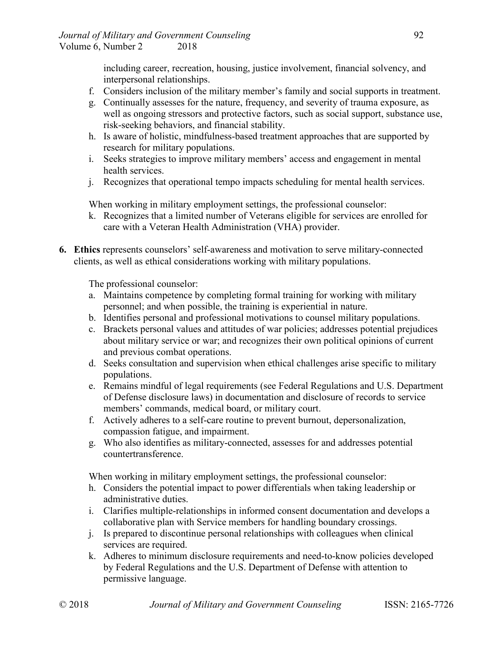including career, recreation, housing, justice involvement, financial solvency, and interpersonal relationships.

- f. Considers inclusion of the military member's family and social supports in treatment.
- g. Continually assesses for the nature, frequency, and severity of trauma exposure, as well as ongoing stressors and protective factors, such as social support, substance use, risk-seeking behaviors, and financial stability.
- h. Is aware of holistic, mindfulness-based treatment approaches that are supported by research for military populations.
- i. Seeks strategies to improve military members' access and engagement in mental health services.
- j. Recognizes that operational tempo impacts scheduling for mental health services.

When working in military employment settings, the professional counselor:

- k. Recognizes that a limited number of Veterans eligible for services are enrolled for care with a Veteran Health Administration (VHA) provider.
- **6. Ethics** represents counselors' self-awareness and motivation to serve military-connected clients, as well as ethical considerations working with military populations.

The professional counselor:

- a. Maintains competence by completing formal training for working with military personnel; and when possible, the training is experiential in nature.
- b. Identifies personal and professional motivations to counsel military populations.
- c. Brackets personal values and attitudes of war policies; addresses potential prejudices about military service or war; and recognizes their own political opinions of current and previous combat operations.
- d. Seeks consultation and supervision when ethical challenges arise specific to military populations.
- e. Remains mindful of legal requirements (see Federal Regulations and U.S. Department of Defense disclosure laws) in documentation and disclosure of records to service members' commands, medical board, or military court.
- f. Actively adheres to a self-care routine to prevent burnout, depersonalization, compassion fatigue, and impairment.
- g. Who also identifies as military-connected, assesses for and addresses potential countertransference.

When working in military employment settings, the professional counselor:

- h. Considers the potential impact to power differentials when taking leadership or administrative duties.
- i. Clarifies multiple-relationships in informed consent documentation and develops a collaborative plan with Service members for handling boundary crossings.
- j. Is prepared to discontinue personal relationships with colleagues when clinical services are required.
- k. Adheres to minimum disclosure requirements and need-to-know policies developed by Federal Regulations and the U.S. Department of Defense with attention to permissive language.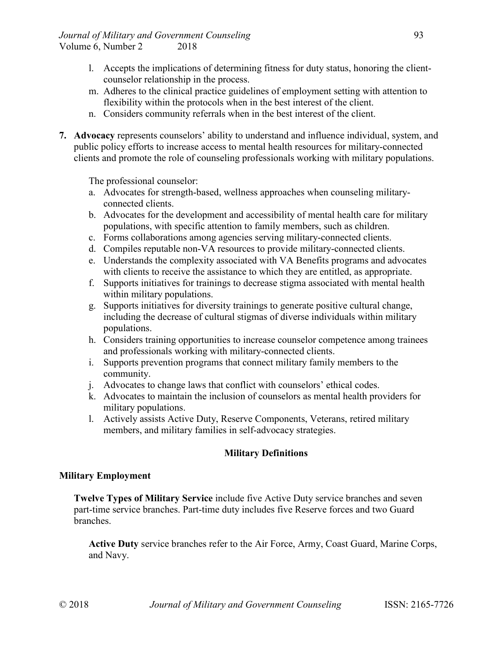- l. Accepts the implications of determining fitness for duty status, honoring the clientcounselor relationship in the process.
- m. Adheres to the clinical practice guidelines of employment setting with attention to flexibility within the protocols when in the best interest of the client.
- n. Considers community referrals when in the best interest of the client.
- **7. Advocacy** represents counselors' ability to understand and influence individual, system, and public policy efforts to increase access to mental health resources for military-connected clients and promote the role of counseling professionals working with military populations.

The professional counselor:

- a. Advocates for strength-based, wellness approaches when counseling militaryconnected clients.
- b. Advocates for the development and accessibility of mental health care for military populations, with specific attention to family members, such as children.
- c. Forms collaborations among agencies serving military-connected clients.
- d. Compiles reputable non-VA resources to provide military-connected clients.
- e. Understands the complexity associated with VA Benefits programs and advocates with clients to receive the assistance to which they are entitled, as appropriate.
- f. Supports initiatives for trainings to decrease stigma associated with mental health within military populations.
- g. Supports initiatives for diversity trainings to generate positive cultural change, including the decrease of cultural stigmas of diverse individuals within military populations.
- h. Considers training opportunities to increase counselor competence among trainees and professionals working with military-connected clients.
- i. Supports prevention programs that connect military family members to the community.
- j. Advocates to change laws that conflict with counselors' ethical codes.
- k. Advocates to maintain the inclusion of counselors as mental health providers for military populations.
- l. Actively assists Active Duty, Reserve Components, Veterans, retired military members, and military families in self-advocacy strategies.

### **Military Definitions**

#### **Military Employment**

**Twelve Types of Military Service** include five Active Duty service branches and seven part-time service branches. Part-time duty includes five Reserve forces and two Guard branches.

**Active Duty** service branches refer to the Air Force, Army, Coast Guard, Marine Corps, and Navy.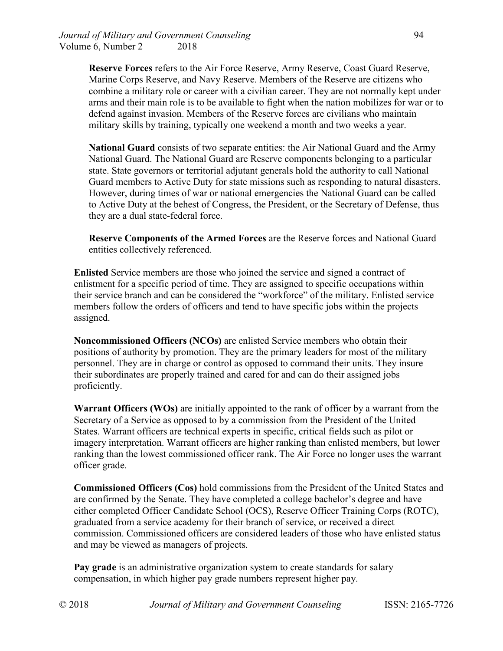**Reserve Forces** refers to the Air Force Reserve, Army Reserve, Coast Guard Reserve, Marine Corps Reserve, and Navy Reserve. Members of the Reserve are citizens who combine a military role or career with a civilian career. They are not normally kept under arms and their main role is to be available to fight when the nation mobilizes for war or to defend against invasion. Members of the Reserve forces are civilians who maintain military skills by training, typically one weekend a month and two weeks a year.

**National Guard** consists of two separate entities: the Air National Guard and the Army National Guard. The National Guard are Reserve components belonging to a particular state. State governors or territorial adjutant generals hold the authority to call National Guard members to Active Duty for state missions such as responding to natural disasters. However, during times of war or national emergencies the National Guard can be called to Active Duty at the behest of Congress, the President, or the Secretary of Defense, thus they are a dual state-federal force.

**Reserve Components of the Armed Forces** are the Reserve forces and National Guard entities collectively referenced.

**Enlisted** Service members are those who joined the service and signed a contract of enlistment for a specific period of time. They are assigned to specific occupations within their service branch and can be considered the "workforce" of the military. Enlisted service members follow the orders of officers and tend to have specific jobs within the projects assigned.

**Noncommissioned Officers (NCOs)** are enlisted Service members who obtain their positions of authority by promotion. They are the primary leaders for most of the military personnel. They are in charge or control as opposed to command their units. They insure their subordinates are properly trained and cared for and can do their assigned jobs proficiently.

**Warrant Officers (WOs)** are initially appointed to the rank of officer by a warrant from the Secretary of a Service as opposed to by a commission from the President of the United States. Warrant officers are technical experts in specific, critical fields such as pilot or imagery interpretation. Warrant officers are higher ranking than enlisted members, but lower ranking than the lowest commissioned officer rank. The Air Force no longer uses the warrant officer grade.

**Commissioned Officers (Cos)** hold commissions from the President of the United States and are confirmed by the Senate. They have completed a college bachelor's degree and have either completed Officer Candidate School (OCS), Reserve Officer Training Corps (ROTC), graduated from a service academy for their branch of service, or received a direct commission. Commissioned officers are considered leaders of those who have enlisted status and may be viewed as managers of projects.

**Pay grade** is an administrative organization system to create standards for salary compensation, in which higher pay grade numbers represent higher pay.

© 2018 *Journal of Military and Government Counseling* ISSN: 2165-7726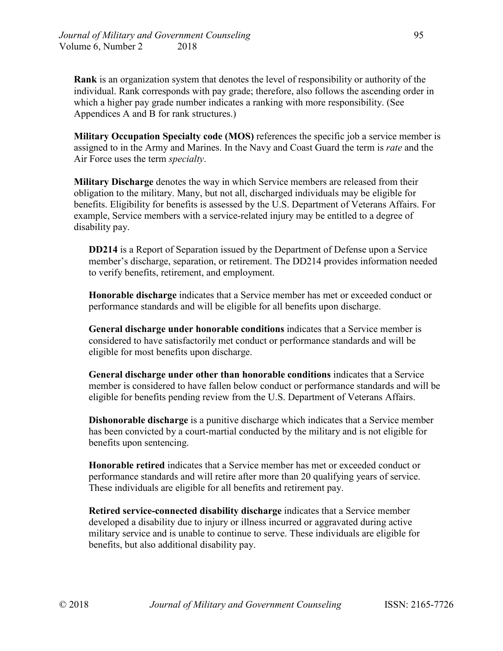**Rank** is an organization system that denotes the level of responsibility or authority of the individual. Rank corresponds with pay grade; therefore, also follows the ascending order in which a higher pay grade number indicates a ranking with more responsibility. (See Appendices A and B for rank structures.)

**Military Occupation Specialty code (MOS)** references the specific job a service member is assigned to in the Army and Marines. In the Navy and Coast Guard the term is *rate* and the Air Force uses the term *specialty*.

**Military Discharge** denotes the way in which Service members are released from their obligation to the military. Many, but not all, discharged individuals may be eligible for benefits. Eligibility for benefits is assessed by the U.S. Department of Veterans Affairs. For example, Service members with a service-related injury may be entitled to a degree of disability pay.

**DD214** is a Report of Separation issued by the Department of Defense upon a Service member's discharge, separation, or retirement. The DD214 provides information needed to verify benefits, retirement, and employment.

**Honorable discharge** indicates that a Service member has met or exceeded conduct or performance standards and will be eligible for all benefits upon discharge.

**General discharge under honorable conditions** indicates that a Service member is considered to have satisfactorily met conduct or performance standards and will be eligible for most benefits upon discharge.

**General discharge under other than honorable conditions** indicates that a Service member is considered to have fallen below conduct or performance standards and will be eligible for benefits pending review from the U.S. Department of Veterans Affairs.

**Dishonorable discharge** is a punitive discharge which indicates that a Service member has been convicted by a court-martial conducted by the military and is not eligible for benefits upon sentencing.

**Honorable retired** indicates that a Service member has met or exceeded conduct or performance standards and will retire after more than 20 qualifying years of service. These individuals are eligible for all benefits and retirement pay.

**Retired service-connected disability discharge** indicates that a Service member developed a disability due to injury or illness incurred or aggravated during active military service and is unable to continue to serve. These individuals are eligible for benefits, but also additional disability pay.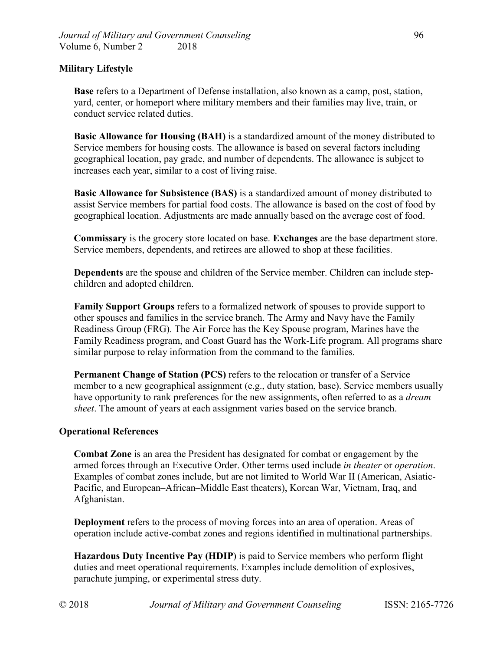#### **Military Lifestyle**

**Base** refers to a Department of Defense installation, also known as a camp, post, station, yard, center, or homeport where military members and their families may live, train, or conduct service related duties.

**Basic Allowance for Housing (BAH)** is a standardized amount of the money distributed to Service members for housing costs. The allowance is based on several factors including geographical location, pay grade, and number of dependents. The allowance is subject to increases each year, similar to a cost of living raise.

**Basic Allowance for Subsistence (BAS)** is a standardized amount of money distributed to assist Service members for partial food costs. The allowance is based on the cost of food by geographical location. Adjustments are made annually based on the average cost of food.

**Commissary** is the grocery store located on base. **Exchanges** are the base department store. Service members, dependents, and retirees are allowed to shop at these facilities.

**Dependents** are the spouse and children of the Service member. Children can include stepchildren and adopted children.

**Family Support Groups** refers to a formalized network of spouses to provide support to other spouses and families in the service branch. The Army and Navy have the Family Readiness Group (FRG). The Air Force has the Key Spouse program, Marines have the Family Readiness program, and Coast Guard has the Work-Life program. All programs share similar purpose to relay information from the command to the families.

**Permanent Change of Station (PCS)** refers to the relocation or transfer of a Service member to a new geographical assignment (e.g., duty station, base). Service members usually have opportunity to rank preferences for the new assignments, often referred to as a *dream sheet*. The amount of years at each assignment varies based on the service branch.

#### **Operational References**

**Combat Zone** is an area the President has designated for combat or engagement by the armed forces through an Executive Order. Other terms used include *in theater* or *operation*. Examples of combat zones include, but are not limited to World War II (American, Asiatic-Pacific, and European–African–Middle East theaters), Korean War, Vietnam, Iraq, and Afghanistan.

**Deployment** refers to the process of moving forces into an area of operation. Areas of operation include active-combat zones and regions identified in multinational partnerships.

**Hazardous Duty Incentive Pay (HDIP**) is paid to Service members who perform flight duties and meet operational requirements. Examples include demolition of explosives, parachute jumping, or experimental stress duty.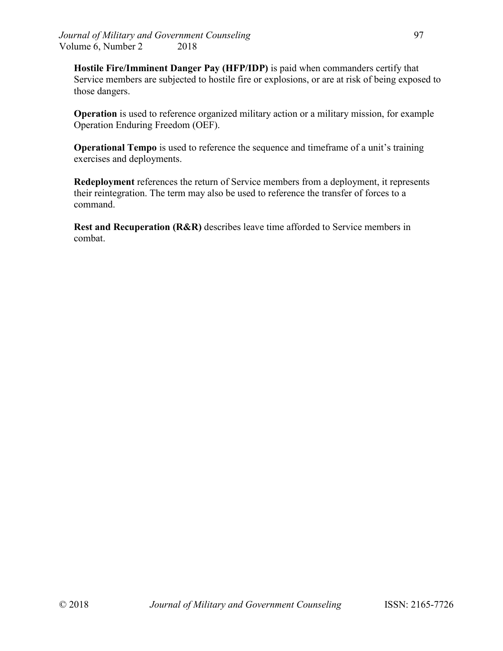**Hostile Fire/Imminent Danger Pay (HFP/IDP)** is paid when commanders certify that Service members are subjected to hostile fire or explosions, or are at risk of being exposed to those dangers.

**Operation** is used to reference organized military action or a military mission, for example Operation Enduring Freedom (OEF).

**Operational Tempo** is used to reference the sequence and timeframe of a unit's training exercises and deployments.

**Redeployment** references the return of Service members from a deployment, it represents their reintegration. The term may also be used to reference the transfer of forces to a command.

**Rest and Recuperation (R&R)** describes leave time afforded to Service members in combat.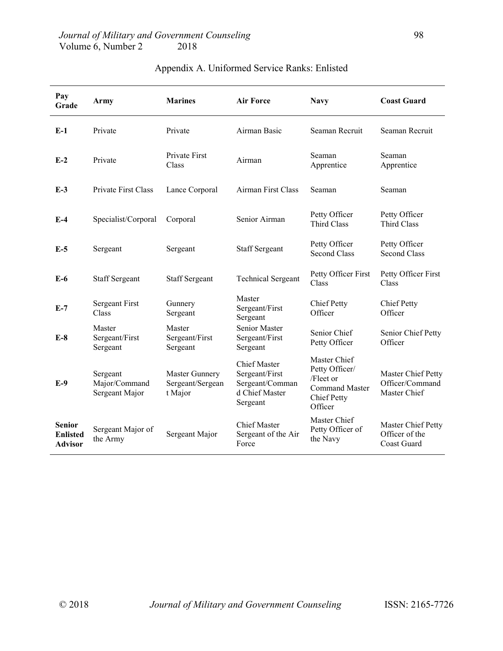| Pay<br>Grade                                | Army                                        | <b>Marines</b>                                       | <b>Air Force</b>                                                                       | <b>Navy</b>                                                                                           | <b>Coast Guard</b>                                    |
|---------------------------------------------|---------------------------------------------|------------------------------------------------------|----------------------------------------------------------------------------------------|-------------------------------------------------------------------------------------------------------|-------------------------------------------------------|
| $E-1$                                       | Private                                     | Private                                              | Airman Basic                                                                           | Seaman Recruit                                                                                        | Seaman Recruit                                        |
| $E-2$                                       | Private                                     | Private First<br>Class                               | Airman                                                                                 | Seaman<br>Apprentice                                                                                  | Seaman<br>Apprentice                                  |
| $E-3$                                       | Private First Class                         | Lance Corporal                                       | Airman First Class                                                                     | Seaman                                                                                                | Seaman                                                |
| $E-4$                                       | Specialist/Corporal                         | Corporal                                             | Senior Airman                                                                          | Petty Officer<br><b>Third Class</b>                                                                   | Petty Officer<br><b>Third Class</b>                   |
| $E-5$                                       | Sergeant                                    | Sergeant                                             | <b>Staff Sergeant</b>                                                                  | Petty Officer<br><b>Second Class</b>                                                                  | Petty Officer<br><b>Second Class</b>                  |
| $E-6$                                       | <b>Staff Sergeant</b>                       | <b>Staff Sergeant</b>                                | <b>Technical Sergeant</b>                                                              | Petty Officer First<br>Class                                                                          | Petty Officer First<br>Class                          |
| $E-7$                                       | <b>Sergeant First</b><br>Class              | Gunnery<br>Sergeant                                  | Master<br>Sergeant/First<br>Sergeant                                                   | <b>Chief Petty</b><br>Officer                                                                         | <b>Chief Petty</b><br>Officer                         |
| $E-8$                                       | Master<br>Sergeant/First<br>Sergeant        | Master<br>Sergeant/First<br>Sergeant                 | Senior Master<br>Sergeant/First<br>Sergeant                                            | Senior Chief<br>Petty Officer                                                                         | Senior Chief Petty<br>Officer                         |
| $E-9$                                       | Sergeant<br>Major/Command<br>Sergeant Major | <b>Master Gunnery</b><br>Sergeant/Sergean<br>t Major | <b>Chief Master</b><br>Sergeant/First<br>Sergeant/Comman<br>d Chief Master<br>Sergeant | Master Chief<br>Petty Officer/<br>/Fleet or<br><b>Command Master</b><br><b>Chief Petty</b><br>Officer | Master Chief Petty<br>Officer/Command<br>Master Chief |
| <b>Senior</b><br><b>Enlisted</b><br>Advisor | Sergeant Major of<br>the Army               | Sergeant Major                                       | <b>Chief Master</b><br>Sergeant of the Air<br>Force                                    | Master Chief<br>Petty Officer of<br>the Navy                                                          | Master Chief Petty<br>Officer of the<br>Coast Guard   |

# Appendix A. Uniformed Service Ranks: Enlisted